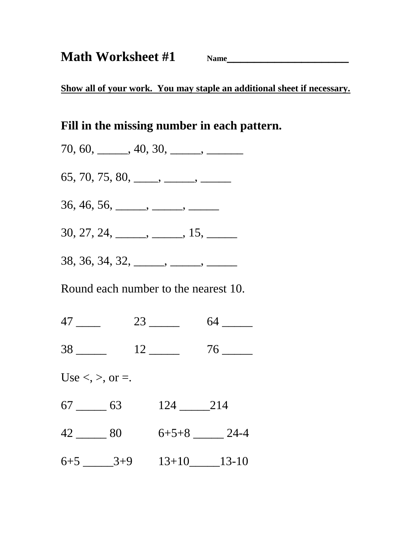**Show all of your work. You may staple an additional sheet if necessary.**

### **Fill in the missing number in each pattern.**

 $70, 60, \_\_\_\_$ ,  $40, 30, \_\_\_\_\_\_$ 

 $65, 70, 75, 80, \_\_\_\_\_\_\_\_\_\_\_\_\_\_\_\_$ 

36, 46, 56, \_\_\_\_\_, \_\_\_\_, \_\_\_\_\_,

 $30, 27, 24, \_\_\_\_\_\_$ ,  $15, \_\_\_\_\_\_$ 

38, 36, 34, 32, \_\_\_\_, \_\_\_\_, \_\_\_\_,

Round each number to the nearest 10.

| . . | ـ<br>$\sim$ |  |
|-----|-------------|--|
|-----|-------------|--|

38  $12$  76

Use  $\lt$ ,  $\gt$ , or  $\lt$ .

| $\overline{\phantom{a}}$ | 6 |  |  |  |
|--------------------------|---|--|--|--|
|--------------------------|---|--|--|--|

 $42 \underline{\hspace{1cm}} 80 \qquad 6+5+8 \underline{\hspace{1cm}} 24-4$ 

 $6+5$   $3+9$   $13+10$   $13-10$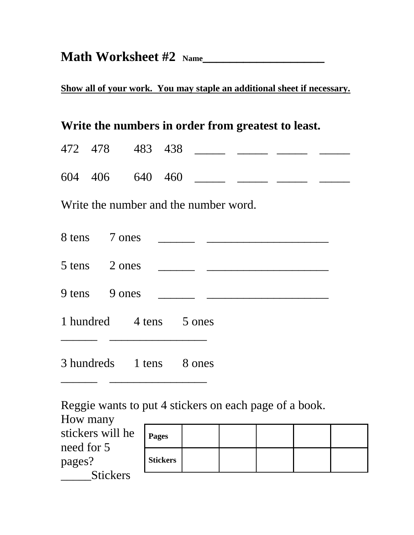# **Math Worksheet #2 Name\_\_\_\_\_\_\_\_\_\_\_\_\_\_\_\_\_\_**

**Show all of your work. You may staple an additional sheet if necessary.**

### **Write the numbers in order from greatest to least.**

| 472 478 483 438 |  |  |  |
|-----------------|--|--|--|
| 604 406 640 460 |  |  |  |

Write the number and the number word.

| 8 tens 7 ones |                          |                                                                                                                      |
|---------------|--------------------------|----------------------------------------------------------------------------------------------------------------------|
| 5 tens 2 ones |                          |                                                                                                                      |
| 9 tens 9 ones |                          | <u> 1980 - Jan Jan Jawa Barat, president populari president populari populari president populari populari popula</u> |
|               | 1 hundred 4 tens 5 ones  |                                                                                                                      |
|               | 3 hundreds 1 tens 8 ones |                                                                                                                      |

Reggie wants to put 4 stickers on each page of a book.

| How many                       |                 |  |  |  |
|--------------------------------|-----------------|--|--|--|
| stickers will he<br>need for 5 | <b>Pages</b>    |  |  |  |
| pages?                         | <b>Stickers</b> |  |  |  |
| <b>Stickers</b>                |                 |  |  |  |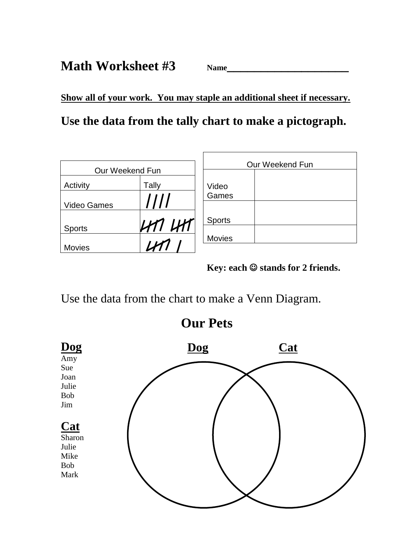**Math Worksheet #3** Name

**Show all of your work. You may staple an additional sheet if necessary.**

**Use the data from the tally chart to make a pictograph.**

| Our Weekend Fun    |       |               | Our Weekend Fun |
|--------------------|-------|---------------|-----------------|
|                    |       |               |                 |
| Activity           | Tally | Video         |                 |
|                    |       | Games         |                 |
| <b>Video Games</b> | ////  |               |                 |
|                    |       | <b>Sports</b> |                 |
| <b>Sports</b>      | UM UM |               |                 |
|                    |       | <b>Movies</b> |                 |
| <b>Movies</b>      |       |               |                 |

**Key: each**  $\odot$  **stands for 2 friends.** 

Use the data from the chart to make a Venn Diagram.

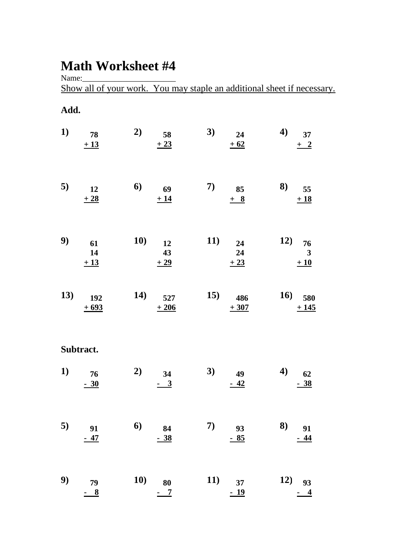## **Math Worksheet #4**

Name:\_\_\_\_\_\_\_\_\_\_\_\_\_\_\_\_\_\_\_\_\_\_\_

Show all of your work. You may staple an additional sheet if necessary.

#### **Add.**

| 1)  | 78<br>$\pm 13$       | 2)  | 58<br>$\pm 23$       | 3)  | 24<br>$\pm 62$       | $\boldsymbol{4}$ | 37<br>$\pm$ 2               |
|-----|----------------------|-----|----------------------|-----|----------------------|------------------|-----------------------------|
| 5)  | 12<br>± 28           | 6)  | 69<br>±14            | 7)  | 85<br>$+ 8$          | 8)               | 55<br>$+18$                 |
| 9)  | 61<br>14<br>$\pm 13$ | 10) | 12<br>43<br>$+29$    | 11) | 24<br>24<br>$\pm 23$ | 12)              | 76<br>$\mathbf{3}$<br>$+10$ |
| 13) | 192<br>$+693$        | 14) | 527<br>$+206$        | 15) | 486<br>$+307$        | 16)              | 580<br>$+145$               |
|     | Subtract.            |     |                      |     |                      |                  |                             |
| 1)  | 76<br>$-30$          | 2)  | 34<br>$\frac{-3}{2}$ | 3)  | 49<br>$-42$          | $\boldsymbol{4}$ | 62<br><u>38</u>             |
| 5)  | 91<br><u>- 47</u>    | 6   | 84<br><u>- 38</u>    | 7)  | 93<br><u>- 85</u>    | 8)               | 91<br>$-44$                 |
| 9)  | 79<br>$\frac{8}{2}$  | 10) | 80<br>$\overline{1}$ | 11) | 37<br>$-19$          | 12)              | 93<br>$\overline{4}$        |